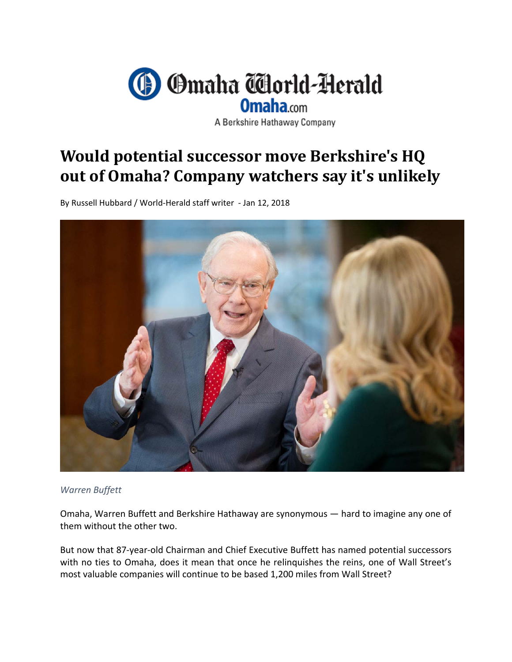

A Berkshire Hathaway Company

## **Would potential successor move Berkshire's HQ out of Omaha? Company watchers say it's unlikely**

By Russell Hubbard / World‐Herald staff writer ‐ Jan 12, 2018



## *Warren Buffett*

Omaha, Warren Buffett and Berkshire Hathaway are synonymous — hard to imagine any one of them without the other two.

But now that 87‐year‐old Chairman and Chief Executive Buffett has named potential successors with no ties to Omaha, does it mean that once he relinquishes the reins, one of Wall Street's most valuable companies will continue to be based 1,200 miles from Wall Street?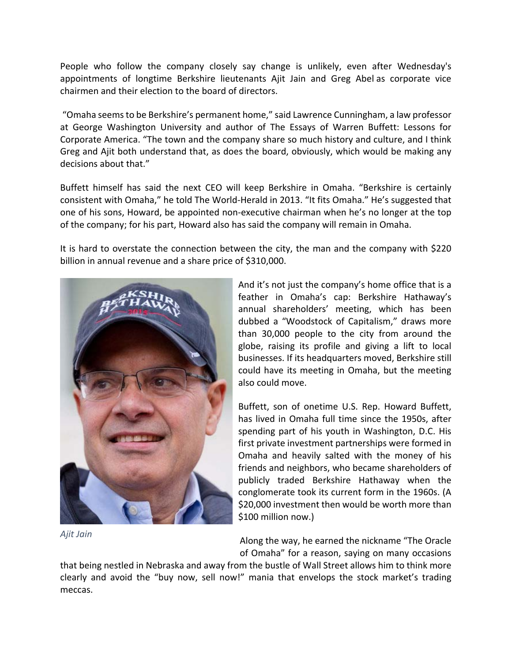People who follow the company closely say change is unlikely, even after Wednesday's appointments of longtime Berkshire lieutenants Ajit Jain and Greg Abel as corporate vice chairmen and their election to the board of directors.

"Omaha seemsto be Berkshire's permanent home," said Lawrence Cunningham, a law professor at George Washington University and author of The Essays of Warren Buffett: Lessons for Corporate America. "The town and the company share so much history and culture, and I think Greg and Ajit both understand that, as does the board, obviously, which would be making any decisions about that."

Buffett himself has said the next CEO will keep Berkshire in Omaha. "Berkshire is certainly consistent with Omaha," he told The World‐Herald in 2013. "It fits Omaha." He's suggested that one of his sons, Howard, be appointed non‐executive chairman when he's no longer at the top of the company; for his part, Howard also has said the company will remain in Omaha.

It is hard to overstate the connection between the city, the man and the company with \$220 billion in annual revenue and a share price of \$310,000.



*Ajit Jain*

And it's not just the company's home office that is a feather in Omaha's cap: Berkshire Hathaway's annual shareholders' meeting, which has been dubbed a "Woodstock of Capitalism," draws more than 30,000 people to the city from around the globe, raising its profile and giving a lift to local businesses. If its headquarters moved, Berkshire still could have its meeting in Omaha, but the meeting also could move.

Buffett, son of onetime U.S. Rep. Howard Buffett, has lived in Omaha full time since the 1950s, after spending part of his youth in Washington, D.C. His first private investment partnerships were formed in Omaha and heavily salted with the money of his friends and neighbors, who became shareholders of publicly traded Berkshire Hathaway when the conglomerate took its current form in the 1960s. (A \$20,000 investment then would be worth more than \$100 million now.)

Along the way, he earned the nickname "The Oracle of Omaha" for a reason, saying on many occasions

that being nestled in Nebraska and away from the bustle of Wall Street allows him to think more clearly and avoid the "buy now, sell now!" mania that envelops the stock market's trading meccas.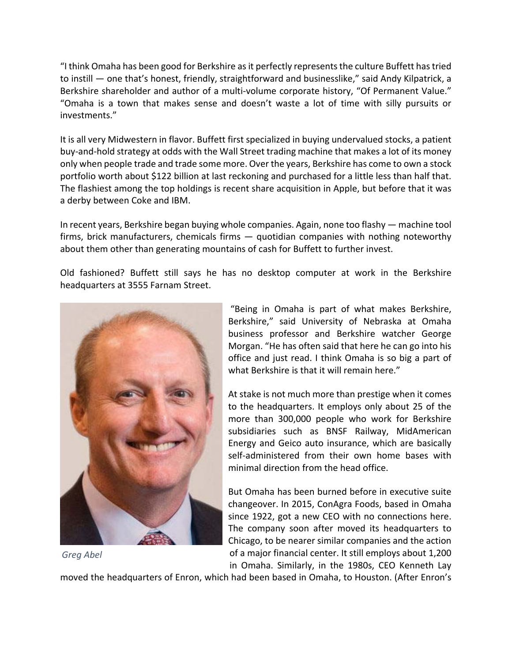"I think Omaha has been good for Berkshire asit perfectly representsthe culture Buffett hastried to instill — one that's honest, friendly, straightforward and businesslike," said Andy Kilpatrick, a Berkshire shareholder and author of a multi-volume corporate history, "Of Permanent Value." "Omaha is a town that makes sense and doesn't waste a lot of time with silly pursuits or investments."

It is all very Midwestern in flavor. Buffett first specialized in buying undervalued stocks, a patient buy‐and‐hold strategy at odds with the Wall Street trading machine that makes a lot of its money only when people trade and trade some more. Over the years, Berkshire has come to own a stock portfolio worth about \$122 billion at last reckoning and purchased for a little less than half that. The flashiest among the top holdings is recent share acquisition in Apple, but before that it was a derby between Coke and IBM.

In recent years, Berkshire began buying whole companies. Again, none too flashy — machine tool firms, brick manufacturers, chemicals firms — quotidian companies with nothing noteworthy about them other than generating mountains of cash for Buffett to further invest.

Old fashioned? Buffett still says he has no desktop computer at work in the Berkshire headquarters at 3555 Farnam Street.



"Being in Omaha is part of what makes Berkshire, Berkshire," said University of Nebraska at Omaha business professor and Berkshire watcher George Morgan. "He has often said that here he can go into his office and just read. I think Omaha is so big a part of what Berkshire is that it will remain here."

At stake is not much more than prestige when it comes to the headquarters. It employs only about 25 of the more than 300,000 people who work for Berkshire subsidiaries such as BNSF Railway, MidAmerican Energy and Geico auto insurance, which are basically self-administered from their own home bases with minimal direction from the head office.

But Omaha has been burned before in executive suite changeover. In 2015, ConAgra Foods, based in Omaha since 1922, got a new CEO with no connections here. The company soon after moved its headquarters to Chicago, to be nearer similar companies and the action of a major financial center. It still employs about 1,200 in Omaha. Similarly, in the 1980s, CEO Kenneth Lay

*Greg Abel*

moved the headquarters of Enron, which had been based in Omaha, to Houston. (After Enron's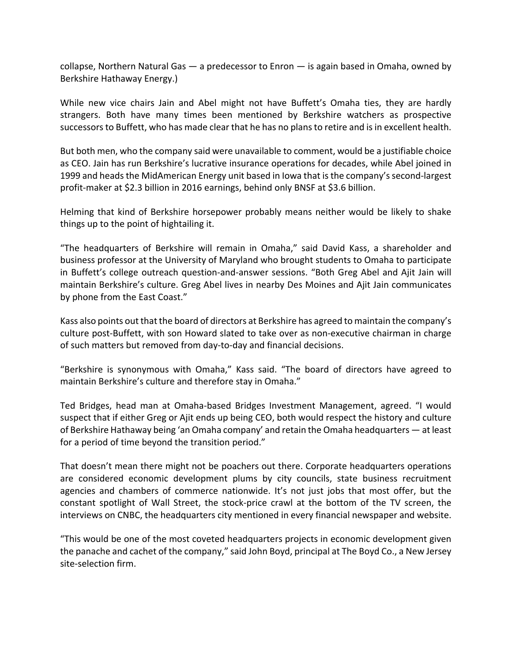collapse, Northern Natural Gas — a predecessor to Enron — is again based in Omaha, owned by Berkshire Hathaway Energy.)

While new vice chairs Jain and Abel might not have Buffett's Omaha ties, they are hardly strangers. Both have many times been mentioned by Berkshire watchers as prospective successors to Buffett, who has made clear that he has no plans to retire and is in excellent health.

But both men, who the company said were unavailable to comment, would be a justifiable choice as CEO. Jain has run Berkshire's lucrative insurance operations for decades, while Abel joined in 1999 and heads the MidAmerican Energy unit based in Iowa that is the company's second-largest profit-maker at \$2.3 billion in 2016 earnings, behind only BNSF at \$3.6 billion.

Helming that kind of Berkshire horsepower probably means neither would be likely to shake things up to the point of hightailing it.

"The headquarters of Berkshire will remain in Omaha," said David Kass, a shareholder and business professor at the University of Maryland who brought students to Omaha to participate in Buffett's college outreach question-and-answer sessions. "Both Greg Abel and Ajit Jain will maintain Berkshire's culture. Greg Abel lives in nearby Des Moines and Ajit Jain communicates by phone from the East Coast."

Kass also points out that the board of directors at Berkshire has agreed to maintain the company's culture post‐Buffett, with son Howard slated to take over as non‐executive chairman in charge of such matters but removed from day‐to‐day and financial decisions.

"Berkshire is synonymous with Omaha," Kass said. "The board of directors have agreed to maintain Berkshire's culture and therefore stay in Omaha."

Ted Bridges, head man at Omaha‐based Bridges Investment Management, agreed. "I would suspect that if either Greg or Ajit ends up being CEO, both would respect the history and culture of Berkshire Hathaway being 'an Omaha company' and retain the Omaha headquarters — at least for a period of time beyond the transition period."

That doesn't mean there might not be poachers out there. Corporate headquarters operations are considered economic development plums by city councils, state business recruitment agencies and chambers of commerce nationwide. It's not just jobs that most offer, but the constant spotlight of Wall Street, the stock‐price crawl at the bottom of the TV screen, the interviews on CNBC, the headquarters city mentioned in every financial newspaper and website.

"This would be one of the most coveted headquarters projects in economic development given the panache and cachet of the company," said John Boyd, principal at The Boyd Co., a New Jersey site‐selection firm.